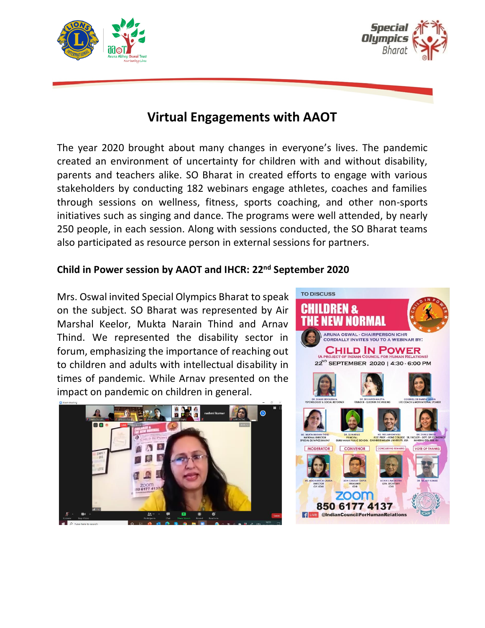



## **Virtual Engagements with AAOT**

The year 2020 brought about many changes in everyone's lives. The pandemic created an environment of uncertainty for children with and without disability, parents and teachers alike. SO Bharat in created efforts to engage with various stakeholders by conducting 182 webinars engage athletes, coaches and families through sessions on wellness, fitness, sports coaching, and other non-sports initiatives such as singing and dance. The programs were well attended, by nearly 250 people, in each session. Along with sessions conducted, the SO Bharat teams also participated as resource person in external sessions for partners.

## **Child in Power session by AAOT and IHCR: 22nd September 2020**

Mrs. Oswal invited Special Olympics Bharat to speak on the subject. SO Bharat was represented by Air Marshal Keelor, Mukta Narain Thind and Arnav Thind. We represented the disability sector in forum, emphasizing the importance of reaching out to children and adults with intellectual disability in times of pandemic. While Arnav presented on the impact on pandemic on children in general.



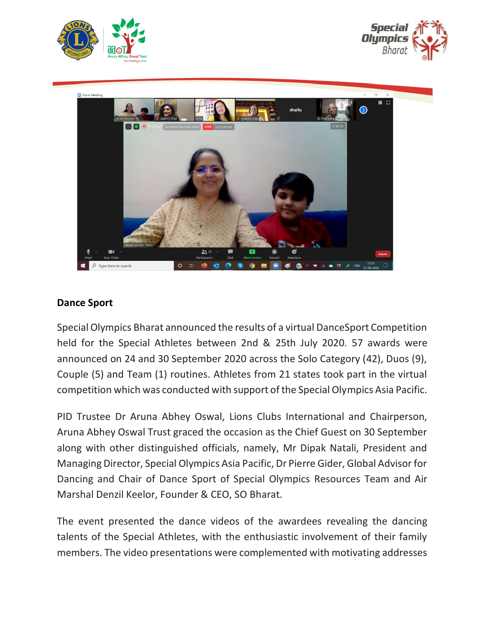





## **Dance Sport**

Special Olympics Bharat announced the results of a virtual DanceSport Competition held for the Special Athletes between 2nd & 25th July 2020. 57 awards were announced on 24 and 30 September 2020 across the Solo Category (42), Duos (9), Couple (5) and Team (1) routines. Athletes from 21 states took part in the virtual competition which was conducted with support of the Special Olympics Asia Pacific.

PID Trustee Dr Aruna Abhey Oswal, Lions Clubs International and Chairperson, Aruna Abhey Oswal Trust graced the occasion as the Chief Guest on 30 September along with other distinguished officials, namely, Mr Dipak Natali, President and Managing Director, Special Olympics Asia Pacific, Dr Pierre Gider, Global Advisor for Dancing and Chair of Dance Sport of Special Olympics Resources Team and Air Marshal Denzil Keelor, Founder & CEO, SO Bharat.

The event presented the dance videos of the awardees revealing the dancing talents of the Special Athletes, with the enthusiastic involvement of their family members. The video presentations were complemented with motivating addresses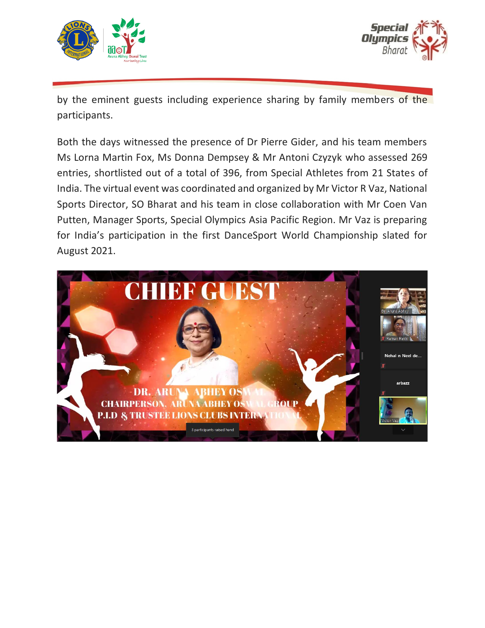



by the eminent guests including experience sharing by family members of the participants.

Both the days witnessed the presence of Dr Pierre Gider, and his team members Ms Lorna Martin Fox, Ms Donna Dempsey & Mr Antoni Czyzyk who assessed 269 entries, shortlisted out of a total of 396, from Special Athletes from 21 States of India. The virtual event was coordinated and organized by Mr Victor R Vaz, National Sports Director, SO Bharat and his team in close collaboration with Mr Coen Van Putten, Manager Sports, Special Olympics Asia Pacific Region. Mr Vaz is preparing for India's participation in the first DanceSport World Championship slated for August 2021.

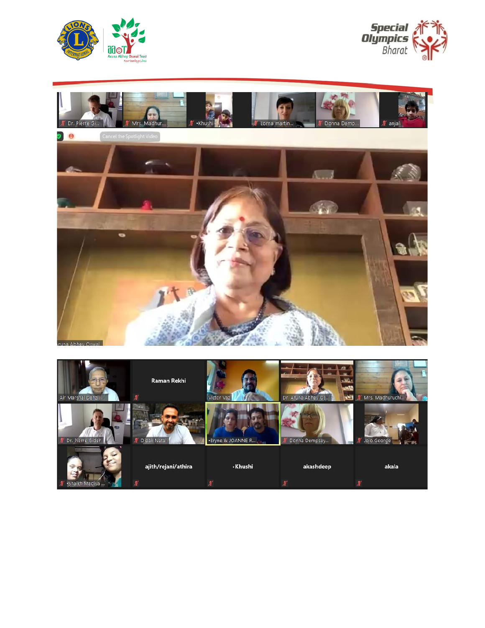